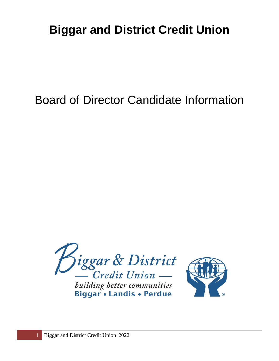# **Biggar and District Credit Union**

## Board of Director Candidate Information



building better communities<br>Biggar • Landis • Perdue

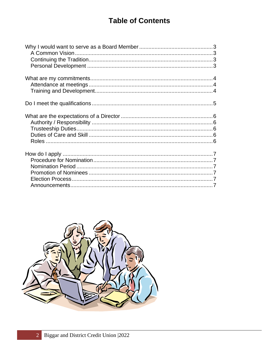## **Table of Contents**

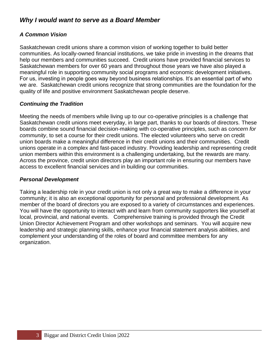## <span id="page-2-0"></span>*Why I would want to serve as a Board Member*

## <span id="page-2-1"></span>*A Common Vision*

Saskatchewan credit unions share a common vision of working together to build better communities. As locally-owned financial institutions, we take pride in investing in the dreams that help our members and communities succeed. Credit unions have provided financial services to Saskatchewan members for over 60 years and throughout those years we have also played a meaningful role in supporting community social programs and economic development initiatives. For us, investing in people goes way beyond business relationships. It's an essential part of who we are. Saskatchewan credit unions recognize that strong communities are the foundation for the quality of life and positive environment Saskatchewan people deserve.

## <span id="page-2-2"></span>*Continuing the Tradition*

Meeting the needs of members while living up to our co-operative principles is a challenge that Saskatchewan credit unions meet everyday, in large part, thanks to our boards of directors. These boards combine sound financial decision-making with co-operative principles, such as c*oncern for community*, to set a course for their credit unions. The elected volunteers who serve on credit union boards make a meaningful difference in their credit unions and their communities. Credit unions operate in a complex and fast-paced industry. Providing leadership and representing credit union members within this environment is a challenging undertaking, but the rewards are many. Across the province, credit union directors play an important role in ensuring our members have access to excellent financial services and in building our communities.

#### <span id="page-2-3"></span>*Personal Development*

Taking a leadership role in your credit union is not only a great way to make a difference in your community; it is also an exceptional opportunity for personal and professional development. As member of the board of directors you are exposed to a variety of circumstances and experiences. You will have the opportunity to interact with and learn from community supporters like yourself at local, provincial, and national events. Comprehensive training is provided through the Credit Union Director Achievement Program and other workshops and seminars. You will acquire new leadership and strategic planning skills, enhance your financial statement analysis abilities, and complement your understanding of the roles of board and committee members for any organization.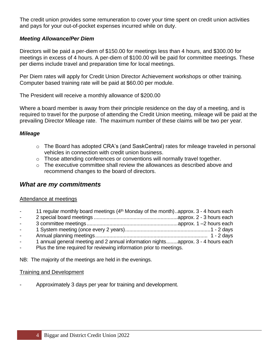The credit union provides some remuneration to cover your time spent on credit union activities and pays for your out-of-pocket expenses incurred while on duty.

#### *Meeting Allowance/Per Diem*

Directors will be paid a per-diem of \$150.00 for meetings less than 4 hours, and \$300.00 for meetings in excess of 4 hours. A per-diem of \$100.00 will be paid for committee meetings. These per diems include travel and preparation time for local meetings.

Per Diem rates will apply for Credit Union Director Achievement workshops or other training. Computer based training rate will be paid at \$60.00 per module.

The President will receive a monthly allowance of \$200.00

Where a board member is away from their principle residence on the day of a meeting, and is required to travel for the purpose of attending the Credit Union meeting, mileage will be paid at the prevailing Director Mileage rate. The maximum number of these claims will be two per year.

#### *Mileage*

- o The Board has adopted CRA's (and SaskCentral) rates for mileage traveled in personal vehicles in connection with credit union business.
- o Those attending conferences or conventions will normally travel together.
- o The executive committee shall review the allowances as described above and recommend changes to the board of directors.

## <span id="page-3-0"></span>*What are my commitments*

#### <span id="page-3-1"></span>Attendance at meetings

11 regular monthly board meetings  $(4<sup>th</sup>$  Monday of the month)..approx. 3 - 4 hours each - 2 special board meetings ...........................................................approx. 2 - 3 hours each - 3 committee meetings................................................................approx. 1 –2 hours each - 1 System meeting (once every 2 years)............................................................1 - 2 days - Annual planning meetings............................................................................... 1 - 2 days - 1 annual general meeting and 2 annual information nights........approx. 3 - 4 hours each - Plus the time required for reviewing information prior to meetings.

NB: The majority of the meetings are held in the evenings.

#### <span id="page-3-2"></span>Training and Development

<span id="page-3-3"></span>- Approximately 3 days per year for training and development.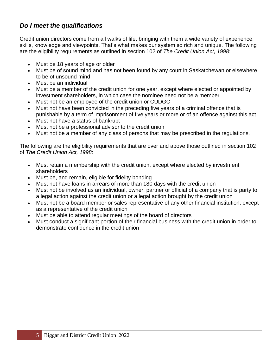## *Do I meet the qualifications*

Credit union directors come from all walks of life, bringing with them a wide variety of experience, skills, knowledge and viewpoints. That's what makes our system so rich and unique. The following are the eligibility requirements as outlined in section 102 of *The Credit Union Act, 1998*:

- Must be 18 years of age or older
- Must be of sound mind and has not been found by any court in Saskatchewan or elsewhere to be of unsound mind
- Must be an individual
- Must be a member of the credit union for one year, except where elected or appointed by investment shareholders, in which case the nominee need not be a member
- Must not be an employee of the credit union or CUDGC
- Must not have been convicted in the preceding five years of a criminal offence that is punishable by a term of imprisonment of five years or more or of an offence against this act
- Must not have a status of bankrupt
- Must not be a professional advisor to the credit union
- Must not be a member of any class of persons that may be prescribed in the regulations.

The following are the eligibility requirements that are over and above those outlined in section 102 of *The Credit Union Act, 1998*:

- Must retain a membership with the credit union, except where elected by investment shareholders
- Must be, and remain, eligible for fidelity bonding
- Must not have loans in arrears of more than 180 days with the credit union
- Must not be involved as an individual, owner, partner or official of a company that is party to a legal action against the credit union or a legal action brought by the credit union
- Must not be a board member or sales representative of any other financial institution, except as a representative of the credit union
- Must be able to attend regular meetings of the board of directors
- <span id="page-4-0"></span>• Must conduct a significant portion of their financial business with the credit union in order to demonstrate confidence in the credit union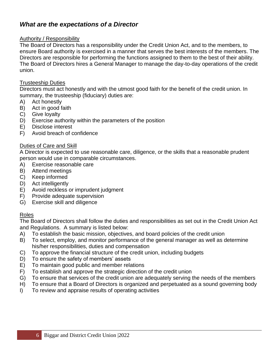## *What are the expectations of a Director*

#### <span id="page-5-0"></span>Authority / Responsibility

The Board of Directors has a responsibility under the Credit Union Act, and to the members, to ensure Board authority is exercised in a manner that serves the best interests of the members. The Directors are responsible for performing the functions assigned to them to the best of their ability. The Board of Directors hires a General Manager to manage the day-to-day operations of the credit union.

#### <span id="page-5-1"></span>Trusteeship Duties

Directors must act honestly and with the utmost good faith for the benefit of the credit union. In summary, the trusteeship (fiduciary) duties are:

- A) Act honestly
- B) Act in good faith
- C) Give loyalty
- D) Exercise authority within the parameters of the position
- E) Disclose interest
- F) Avoid breach of confidence

#### <span id="page-5-2"></span>Duties of Care and Skill

A Director is expected to use reasonable care, diligence, or the skills that a reasonable prudent person would use in comparable circumstances.

- A) Exercise reasonable care
- B) Attend meetings
- C) Keep informed
- D) Act intelligently
- E) Avoid reckless or imprudent judgment
- F) Provide adequate supervision
- G) Exercise skill and diligence

#### <span id="page-5-3"></span>Roles

The Board of Directors shall follow the duties and responsibilities as set out in the Credit Union Act and Regulations. A summary is listed below:

- A) To establish the basic mission, objectives, and board policies of the credit union
- B) To select, employ, and monitor performance of the general manager as well as determine his/her responsibilities, duties and compensation
- C) To approve the financial structure of the credit union, including budgets
- D) To ensure the safety of members' assets
- E) To maintain good public and member relations
- F) To establish and approve the strategic direction of the credit union
- G) To ensure that services of the credit union are adequately serving the needs of the members
- H) To ensure that a Board of Directors is organized and perpetuated as a sound governing body
- <span id="page-5-4"></span>I) To review and appraise results of operating activities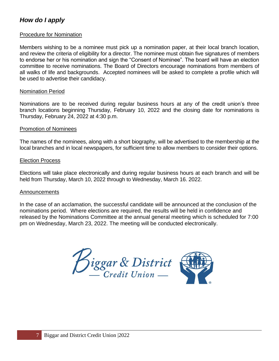## *How do I apply*

#### <span id="page-6-0"></span>Procedure for Nomination

Members wishing to be a nominee must pick up a nomination paper, at their local branch location, and review the criteria of eligibility for a director. The nominee must obtain five signatures of members to endorse her or his nomination and sign the "Consent of Nominee". The board will have an election committee to receive nominations. The Board of Directors encourage nominations from members of all walks of life and backgrounds. Accepted nominees will be asked to complete a profile which will be used to advertise their candidacy.

#### <span id="page-6-1"></span>Nomination Period

Nominations are to be received during regular business hours at any of the credit union's three branch locations beginning Thursday, February 10, 2022 and the closing date for nominations is Thursday, February 24, 2022 at 4:30 p.m.

#### <span id="page-6-2"></span>Promotion of Nominees

The names of the nominees, along with a short biography, will be advertised to the membership at the local branches and in local newspapers, for sufficient time to allow members to consider their options.

#### <span id="page-6-3"></span>Election Process

Elections will take place electronically and during regular business hours at each branch and will be held from Thursday, March 10, 2022 through to Wednesday, March 16. 2022.

#### <span id="page-6-4"></span>Announcements

In the case of an acclamation, the successful candidate will be announced at the conclusion of the nominations period. Where elections are required, the results will be held in confidence and released by the Nominations Committee at the annual general meeting which is scheduled for 7:00 pm on Wednesday, March 23, 2022. The meeting will be conducted electronically.

Biggar & District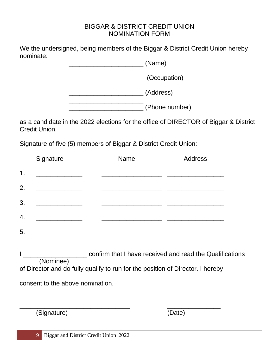## BIGGAR & DISTRICT CREDIT UNION NOMINATION FORM

We the undersigned, being members of the Biggar & District Credit Union hereby nominate:

> \_\_\_\_\_\_\_\_\_\_\_\_\_\_\_\_\_\_\_\_\_ (Name) \_\_\_\_\_\_\_\_\_\_\_\_\_\_\_\_\_\_\_\_\_ (Occupation) \_\_\_\_\_\_\_\_\_\_\_\_\_\_\_\_\_\_\_\_\_ (Address)  $\overline{\phantom{a}}$  , where  $\overline{\phantom{a}}$

\_\_\_\_\_\_\_\_\_\_\_\_\_\_\_\_\_\_\_\_\_ (Phone number)

as a candidate in the 2022 elections for the office of DIRECTOR of Biggar & District Credit Union.

Signature of five (5) members of Biggar & District Credit Union:

|               | Signature                                       | Name | <b>Address</b> |
|---------------|-------------------------------------------------|------|----------------|
| $\mathbf 1$ . |                                                 |      |                |
| 2.            |                                                 |      |                |
| 3.            |                                                 |      |                |
| 4.            | <u> 1989 - Johann Stein, markinsk politik (</u> |      |                |
| 5.            | <u> 1980 - Jan Alexandri, politik politik (</u> |      |                |
|               |                                                 |      |                |

I \_\_\_\_\_\_\_\_\_\_\_\_\_\_\_\_\_\_ confirm that I have received and read the Qualifications (Nominee) of Director and do fully qualify to run for the position of Director. I hereby consent to the above nomination.

(Signature) (Date)

\_\_\_\_\_\_\_\_\_\_\_\_\_\_\_\_\_\_\_\_\_\_\_\_\_\_\_\_\_\_\_ \_\_\_\_\_\_\_\_\_\_\_\_\_\_\_